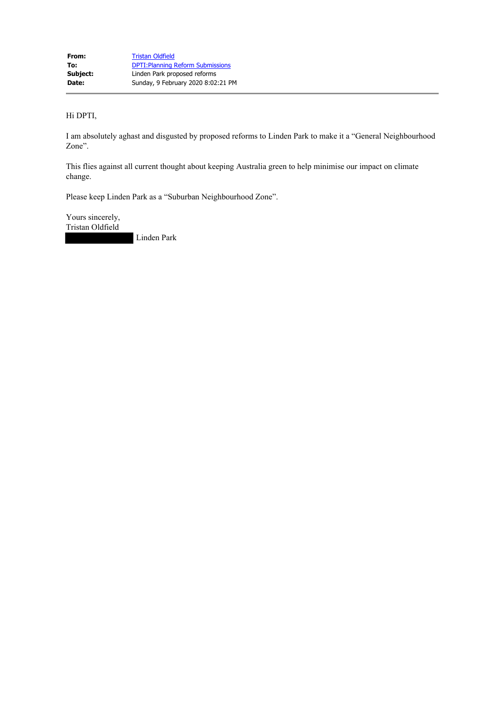Hi DPTI,

I am absolutely aghast and disgusted by proposed reforms to Linden Park to make it a "General Neighbourhood Zone".

This flies against all current thought about keeping Australia green to help minimise our impact on climate change.

Please keep Linden Park as a "Suburban Neighbourhood Zone".

Yours sincerely, Tristan Oldfield

Linden Park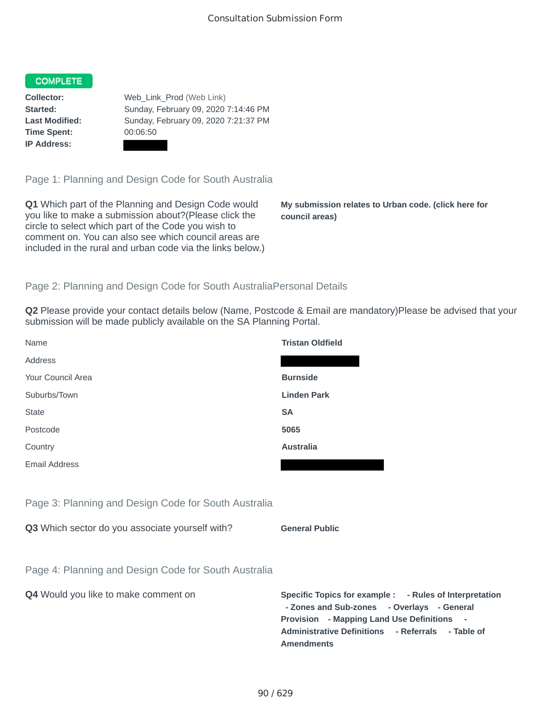## **COMPLETE**

**Time Spent:** 00:06:50 **IP Address:**

**Collector:** Web\_Link\_Prod (Web Link) **Started:** Sunday, February 09, 2020 7:14:46 PM **Last Modified:** Sunday, February 09, 2020 7:21:37 PM

Page 1: Planning and Design Code for South Australia

**Q1** Which part of the Planning and Design Code would you like to make a submission about?(Please click the circle to select which part of the Code you wish to comment on. You can also see which council areas are included in the rural and urban code via the links below.)

**My submission relates to Urban code. (click here for council areas)**

**- Rules of Interpretation** 

## Page 2: Planning and Design Code for South AustraliaPersonal Details

**Q2** Please provide your contact details below (Name, Postcode & Email are mandatory)Please be advised that your submission will be made publicly available on the SA Planning Portal.

| Name                                                 | <b>Tristan Oldfield</b>                                                                                                                                                                              |
|------------------------------------------------------|------------------------------------------------------------------------------------------------------------------------------------------------------------------------------------------------------|
| Address                                              |                                                                                                                                                                                                      |
| Your Council Area                                    | <b>Burnside</b>                                                                                                                                                                                      |
| Suburbs/Town                                         | <b>Linden Park</b>                                                                                                                                                                                   |
| <b>State</b>                                         | <b>SA</b>                                                                                                                                                                                            |
| Postcode                                             | 5065                                                                                                                                                                                                 |
| Country                                              | <b>Australia</b>                                                                                                                                                                                     |
| <b>Email Address</b>                                 |                                                                                                                                                                                                      |
|                                                      |                                                                                                                                                                                                      |
| Page 3: Planning and Design Code for South Australia |                                                                                                                                                                                                      |
| Q3 Which sector do you associate yourself with?      | <b>General Public</b>                                                                                                                                                                                |
|                                                      |                                                                                                                                                                                                      |
| Page 4: Planning and Design Code for South Australia |                                                                                                                                                                                                      |
| Q4 Would you like to make comment on                 | Specific Topics for example : - Rules of Interpreta<br>- Zones and Sub-zones - Overlays - General<br>Provision - Mapping Land Use Definitions -<br>Administrative Definitions - Referrals - Table of |

**Amendments**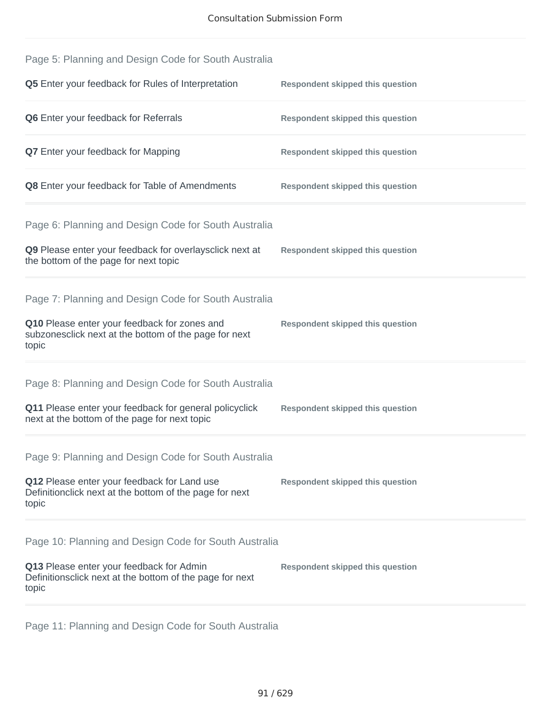| Page 5: Planning and Design Code for South Australia                                                            |                                         |
|-----------------------------------------------------------------------------------------------------------------|-----------------------------------------|
| <b>Q5</b> Enter your feedback for Rules of Interpretation                                                       | <b>Respondent skipped this question</b> |
| Q6 Enter your feedback for Referrals                                                                            | <b>Respondent skipped this question</b> |
| <b>Q7</b> Enter your feedback for Mapping                                                                       | <b>Respondent skipped this question</b> |
| <b>Q8</b> Enter your feedback for Table of Amendments                                                           | <b>Respondent skipped this question</b> |
| Page 6: Planning and Design Code for South Australia                                                            |                                         |
| Q9 Please enter your feedback for overlaysclick next at<br>the bottom of the page for next topic                | <b>Respondent skipped this question</b> |
| Page 7: Planning and Design Code for South Australia                                                            |                                         |
| Q10 Please enter your feedback for zones and<br>subzonesclick next at the bottom of the page for next<br>topic  | <b>Respondent skipped this question</b> |
| Page 8: Planning and Design Code for South Australia                                                            |                                         |
| Q11 Please enter your feedback for general policyclick<br>next at the bottom of the page for next topic         | <b>Respondent skipped this question</b> |
| Page 9: Planning and Design Code for South Australia                                                            |                                         |
| Q12 Please enter your feedback for Land use<br>Definitionclick next at the bottom of the page for next<br>topic | <b>Respondent skipped this question</b> |
| Page 10: Planning and Design Code for South Australia                                                           |                                         |
| Q13 Please enter your feedback for Admin<br>Definitionsclick next at the bottom of the page for next<br>topic   | <b>Respondent skipped this question</b> |
|                                                                                                                 |                                         |

Page 11: Planning and Design Code for South Australia